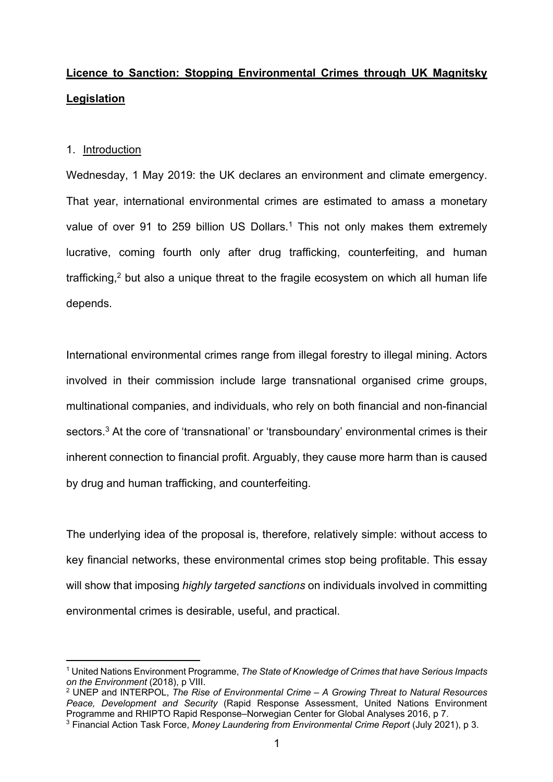# **Licence to Sanction: Stopping Environmental Crimes through UK Magnitsky Legislation**

### 1. Introduction

Wednesday, 1 May 2019: the UK declares an environment and climate emergency. That year, international environmental crimes are estimated to amass a monetary value of over 91 to 259 billion US Dollars.<sup>1</sup> This not only makes them extremely lucrative, coming fourth only after drug trafficking, counterfeiting, and human trafficking,<sup>2</sup> but also a unique threat to the fragile ecosystem on which all human life depends.

International environmental crimes range from illegal forestry to illegal mining. Actors involved in their commission include large transnational organised crime groups, multinational companies, and individuals, who rely on both financial and non-financial sectors.<sup>3</sup> At the core of 'transnational' or 'transboundary' environmental crimes is their inherent connection to financial profit. Arguably, they cause more harm than is caused by drug and human trafficking, and counterfeiting.

The underlying idea of the proposal is, therefore, relatively simple: without access to key financial networks, these environmental crimes stop being profitable. This essay will show that imposing *highly targeted sanctions* on individuals involved in committing environmental crimes is desirable, useful, and practical.

<sup>1</sup> United Nations Environment Programme, *The State of Knowledge of Crimes that have Serious Impacts on the Environment* (2018), p VIII.

<sup>2</sup> UNEP and INTERPOL, *The Rise of Environmental Crime – A Growing Threat to Natural Resources Peace, Development and Security* (Rapid Response Assessment, United Nations Environment Programme and RHIPTO Rapid Response–Norwegian Center for Global Analyses 2016, p 7.

<sup>3</sup> Financial Action Task Force, *Money Laundering from Environmental Crime Report* (July 2021), p 3.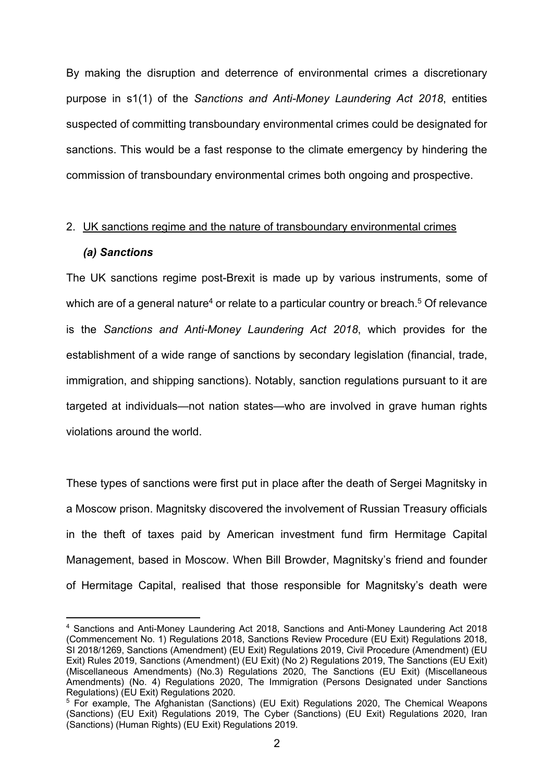By making the disruption and deterrence of environmental crimes a discretionary purpose in s1(1) of the *Sanctions and Anti-Money Laundering Act 2018*, entities suspected of committing transboundary environmental crimes could be designated for sanctions. This would be a fast response to the climate emergency by hindering the commission of transboundary environmental crimes both ongoing and prospective.

# 2. UK sanctions regime and the nature of transboundary environmental crimes *(a) Sanctions*

The UK sanctions regime post-Brexit is made up by various instruments, some of which are of a general nature<sup>4</sup> or relate to a particular country or breach.<sup>5</sup> Of relevance is the *Sanctions and Anti-Money Laundering Act 2018*, which provides for the establishment of a wide range of sanctions by secondary legislation (financial, trade, immigration, and shipping sanctions). Notably, sanction regulations pursuant to it are targeted at individuals—not nation states—who are involved in grave human rights violations around the world.

These types of sanctions were first put in place after the death of Sergei Magnitsky in a Moscow prison. Magnitsky discovered the involvement of Russian Treasury officials in the theft of taxes paid by American investment fund firm Hermitage Capital Management, based in Moscow. When Bill Browder, Magnitsky's friend and founder of Hermitage Capital, realised that those responsible for Magnitsky's death were

<sup>4</sup> Sanctions and Anti-Money Laundering Act 2018, Sanctions and Anti-Money Laundering Act 2018 (Commencement No. 1) Regulations 2018, Sanctions Review Procedure (EU Exit) Regulations 2018, SI 2018/1269, Sanctions (Amendment) (EU Exit) Regulations 2019, Civil Procedure (Amendment) (EU Exit) Rules 2019, Sanctions (Amendment) (EU Exit) (No 2) Regulations 2019, The Sanctions (EU Exit) (Miscellaneous Amendments) (No.3) Regulations 2020, The Sanctions (EU Exit) (Miscellaneous Amendments) (No. 4) Regulations 2020, The Immigration (Persons Designated under Sanctions Regulations) (EU Exit) Regulations 2020.

<sup>5</sup> For example, The Afghanistan (Sanctions) (EU Exit) Regulations 2020, The Chemical Weapons (Sanctions) (EU Exit) Regulations 2019, The Cyber (Sanctions) (EU Exit) Regulations 2020, Iran (Sanctions) (Human Rights) (EU Exit) Regulations 2019.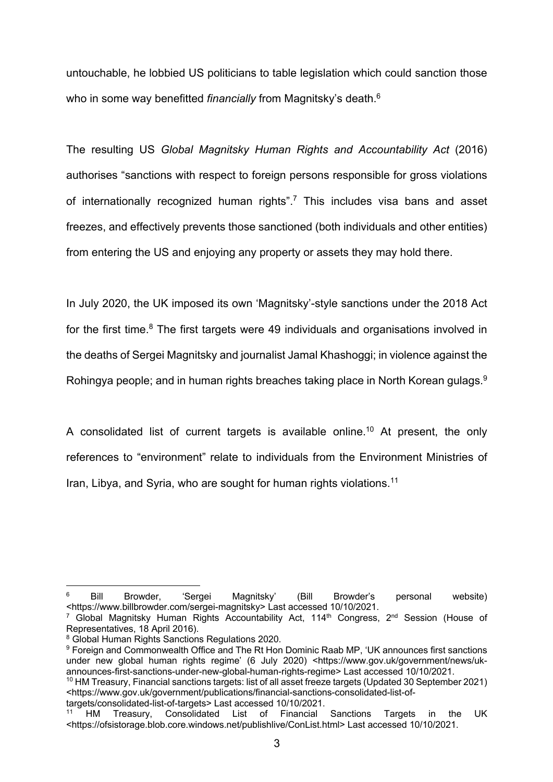untouchable, he lobbied US politicians to table legislation which could sanction those who in some way benefitted *financially* from Magnitsky's death. 6

The resulting US *Global Magnitsky Human Rights and Accountability Act* (2016) authorises "sanctions with respect to foreign persons responsible for gross violations of internationally recognized human rights".7 This includes visa bans and asset freezes, and effectively prevents those sanctioned (both individuals and other entities) from entering the US and enjoying any property or assets they may hold there.

In July 2020, the UK imposed its own 'Magnitsky'-style sanctions under the 2018 Act for the first time. $8$  The first targets were 49 individuals and organisations involved in the deaths of Sergei Magnitsky and journalist Jamal Khashoggi; in violence against the Rohingya people; and in human rights breaches taking place in North Korean gulags. $^9$ 

A consolidated list of current targets is available online.<sup>10</sup> At present, the only references to "environment" relate to individuals from the Environment Ministries of Iran, Libya, and Syria, who are sought for human rights violations.<sup>11</sup>

 $6$  Bill Browder, 'Sergei Magnitsky' (Bill Browder's personal website) <https://www.billbrowder.com/sergei-magnitsky> Last accessed 10/10/2021.

<sup>&</sup>lt;sup>7</sup> Global Magnitsky Human Rights Accountability Act, 114<sup>th</sup> Congress, 2<sup>nd</sup> Session (House of Representatives, 18 April 2016).

<sup>8</sup> Global Human Rights Sanctions Regulations 2020.

<sup>&</sup>lt;sup>9</sup> Foreign and Commonwealth Office and The Rt Hon Dominic Raab MP, 'UK announces first sanctions under new global human rights regime' (6 July 2020) <https://www.gov.uk/government/news/ukannounces-first-sanctions-under-new-global-human-rights-regime> Last accessed 10/10/2021.

<sup>10</sup> HM Treasury, Financial sanctions targets: list of all asset freeze targets (Updated 30 September 2021) <https://www.gov.uk/government/publications/financial-sanctions-consolidated-list-of-

targets/consolidated-list-of-targets> Last accessed 10/10/2021. Treasury, Consolidated List of Financial Sanctions Targets in the UK <https://ofsistorage.blob.core.windows.net/publishlive/ConList.html> Last accessed 10/10/2021.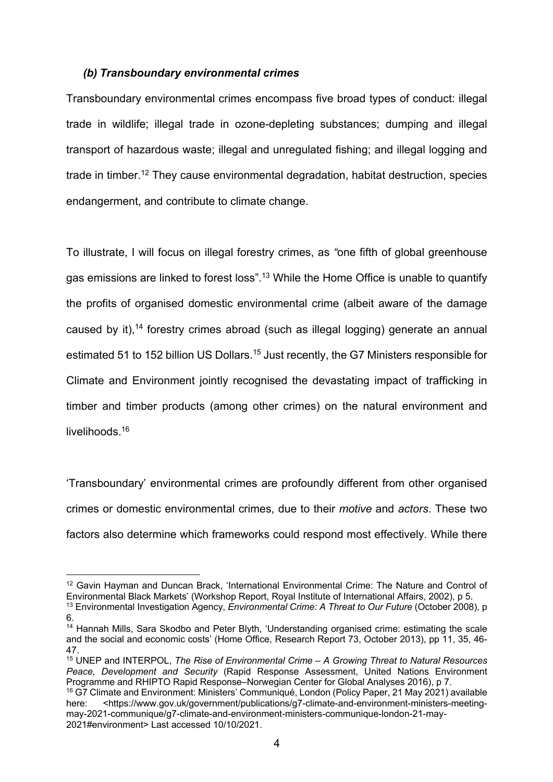### *(b) Transboundary environmental crimes*

Transboundary environmental crimes encompass five broad types of conduct: illegal trade in wildlife; illegal trade in ozone-depleting substances; dumping and illegal transport of hazardous waste; illegal and unregulated fishing; and illegal logging and trade in timber.12 They cause environmental degradation, habitat destruction, species endangerment, and contribute to climate change.

To illustrate, I will focus on illegal forestry crimes, as *"*one fifth of global greenhouse gas emissions are linked to forest loss".13 While the Home Office is unable to quantify the profits of organised domestic environmental crime (albeit aware of the damage caused by it),<sup>14</sup> forestry crimes abroad (such as illegal logging) generate an annual estimated 51 to 152 billion US Dollars.<sup>15</sup> Just recently, the G7 Ministers responsible for Climate and Environment jointly recognised the devastating impact of trafficking in timber and timber products (among other crimes) on the natural environment and livelihoods.<sup>16</sup>

'Transboundary' environmental crimes are profoundly different from other organised crimes or domestic environmental crimes, due to their *motive* and *actors*. These two factors also determine which frameworks could respond most effectively. While there

<sup>&</sup>lt;sup>12</sup> Gavin Hayman and Duncan Brack, 'International Environmental Crime: The Nature and Control of Environmental Black Markets' (Workshop Report, Royal Institute of International Affairs, 2002), p 5. <sup>13</sup> Environmental Investigation Agency, *Environmental Crime: A Threat to Our Future* (October 2008), p

<sup>6.</sup> 

<sup>&</sup>lt;sup>14</sup> Hannah Mills. Sara Skodbo and Peter Blyth, 'Understanding organised crime: estimating the scale and the social and economic costs' (Home Office, Research Report 73, October 2013), pp 11, 35, 46- 47.

<sup>15</sup> UNEP and INTERPOL, *The Rise of Environmental Crime – A Growing Threat to Natural Resources Peace, Development and Security* (Rapid Response Assessment, United Nations Environment Programme and RHIPTO Rapid Response–Norwegian Center for Global Analyses 2016), p 7.

<sup>16</sup> G7 Climate and Environment: Ministers' Communiqué, London (Policy Paper, 21 May 2021) available here: <https://www.gov.uk/government/publications/g7-climate-and-environment-ministers-meetingmay-2021-communique/g7-climate-and-environment-ministers-communique-london-21-may-2021#environment> Last accessed 10/10/2021.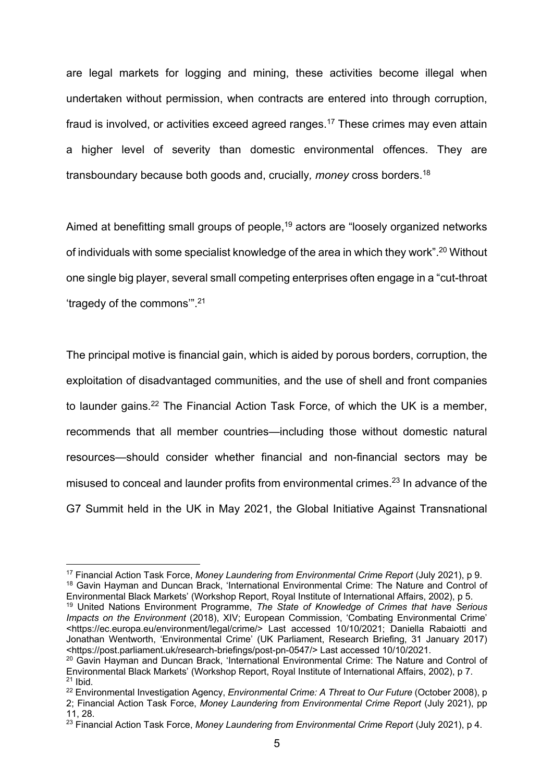are legal markets for logging and mining, these activities become illegal when undertaken without permission, when contracts are entered into through corruption, fraud is involved, or activities exceed agreed ranges.<sup>17</sup> These crimes may even attain a higher level of severity than domestic environmental offences. They are transboundary because both goods and, crucially*, money* cross borders.18

Aimed at benefitting small groups of people,<sup>19</sup> actors are "loosely organized networks of individuals with some specialist knowledge of the area in which they work".20 Without one single big player, several small competing enterprises often engage in a "cut-throat 'tragedy of the commons'".21

The principal motive is financial gain, which is aided by porous borders, corruption, the exploitation of disadvantaged communities, and the use of shell and front companies to launder gains.<sup>22</sup> The Financial Action Task Force, of which the UK is a member, recommends that all member countries—including those without domestic natural resources—should consider whether financial and non-financial sectors may be misused to conceal and launder profits from environmental crimes.<sup>23</sup> In advance of the G7 Summit held in the UK in May 2021, the Global Initiative Against Transnational

<sup>17</sup> Financial Action Task Force, *Money Laundering from Environmental Crime Report* (July 2021), p 9. <sup>18</sup> Gavin Hayman and Duncan Brack, 'International Environmental Crime: The Nature and Control of Environmental Black Markets' (Workshop Report, Royal Institute of International Affairs, 2002), p 5.

<sup>19</sup> United Nations Environment Programme, *The State of Knowledge of Crimes that have Serious Impacts on the Environment* (2018), XIV; European Commission, 'Combating Environmental Crime' <https://ec.europa.eu/environment/legal/crime/> Last accessed 10/10/2021; Daniella Rabaiotti and Jonathan Wentworth, 'Environmental Crime' (UK Parliament, Research Briefing, 31 January 2017) <https://post.parliament.uk/research-briefings/post-pn-0547/> Last accessed 10/10/2021.

<sup>&</sup>lt;sup>20</sup> Gavin Hayman and Duncan Brack, 'International Environmental Crime: The Nature and Control of Environmental Black Markets' (Workshop Report, Royal Institute of International Affairs, 2002), p 7.  $21$  Ibid.

<sup>22</sup> Environmental Investigation Agency, *Environmental Crime: A Threat to Our Future* (October 2008), p 2; Financial Action Task Force, *Money Laundering from Environmental Crime Report* (July 2021), pp

<sup>11, 28. 23</sup> Financial Action Task Force, *Money Laundering from Environmental Crime Report* (July 2021), p 4.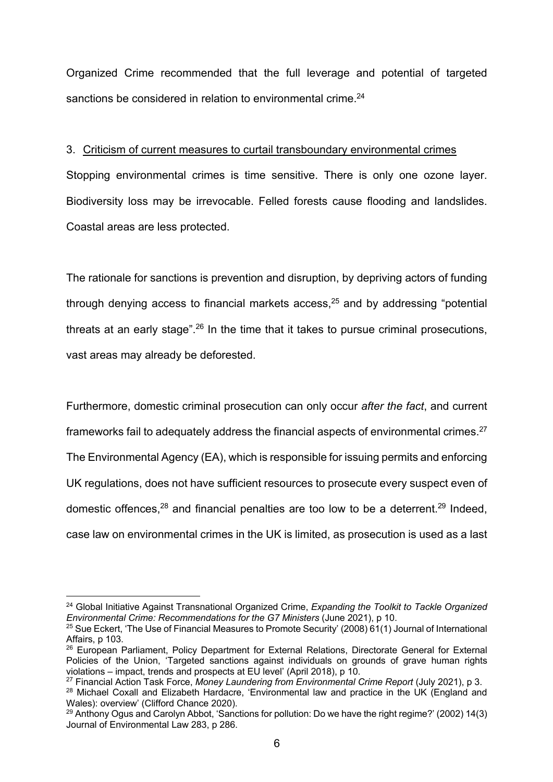Organized Crime recommended that the full leverage and potential of targeted sanctions be considered in relation to environmental crime.<sup>24</sup>

# 3. Criticism of current measures to curtail transboundary environmental crimes

Stopping environmental crimes is time sensitive. There is only one ozone layer. Biodiversity loss may be irrevocable. Felled forests cause flooding and landslides. Coastal areas are less protected.

The rationale for sanctions is prevention and disruption, by depriving actors of funding through denying access to financial markets access, $25$  and by addressing "potential threats at an early stage".<sup>26</sup> In the time that it takes to pursue criminal prosecutions, vast areas may already be deforested.

Furthermore, domestic criminal prosecution can only occur *after the fact*, and current frameworks fail to adequately address the financial aspects of environmental crimes.27 The Environmental Agency (EA), which is responsible for issuing permits and enforcing UK regulations, does not have sufficient resources to prosecute every suspect even of domestic offences,<sup>28</sup> and financial penalties are too low to be a deterrent.<sup>29</sup> Indeed, case law on environmental crimes in the UK is limited, as prosecution is used as a last

<sup>24</sup> Global Initiative Against Transnational Organized Crime, *Expanding the Toolkit to Tackle Organized Environmental Crime: Recommendations for the G7 Ministers* (June 2021), p 10.<br><sup>25</sup> Sue Eckert, 'The Use of Financial Measures to Promote Security' (2008) 61(1) Journal of International

Affairs, p 103.

<sup>&</sup>lt;sup>26</sup> European Parliament, Policy Department for External Relations, Directorate General for External Policies of the Union, 'Targeted sanctions against individuals on grounds of grave human rights violations – impact, trends and prospects at EU level' (April 2018), p 10.

<sup>27</sup> Financial Action Task Force, *Money Laundering from Environmental Crime Report* (July 2021), p 3.

<sup>&</sup>lt;sup>28</sup> Michael Coxall and Elizabeth Hardacre, 'Environmental law and practice in the UK (England and Wales): overview' (Clifford Chance 2020).

<sup>&</sup>lt;sup>29</sup> Anthony Ogus and Carolyn Abbot, 'Sanctions for pollution: Do we have the right regime?' (2002) 14(3) Journal of Environmental Law 283, p 286.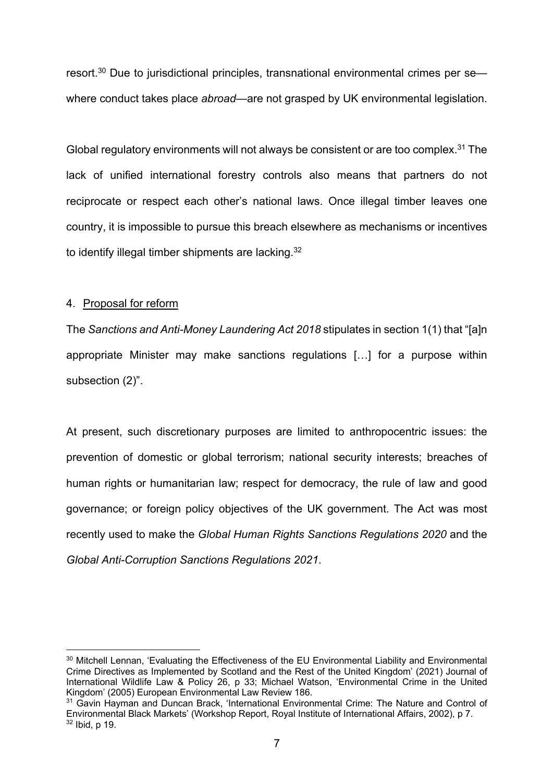resort.<sup>30</sup> Due to jurisdictional principles, transnational environmental crimes per sewhere conduct takes place *abroad*—are not grasped by UK environmental legislation.

Global regulatory environments will not always be consistent or are too complex.<sup>31</sup> The lack of unified international forestry controls also means that partners do not reciprocate or respect each other's national laws. Once illegal timber leaves one country, it is impossible to pursue this breach elsewhere as mechanisms or incentives to identify illegal timber shipments are lacking.<sup>32</sup>

#### 4. Proposal for reform

The *Sanctions and Anti-Money Laundering Act 2018* stipulates in section 1(1) that "[a]n appropriate Minister may make sanctions regulations […] for a purpose within subsection (2)".

At present, such discretionary purposes are limited to anthropocentric issues: the prevention of domestic or global terrorism; national security interests; breaches of human rights or humanitarian law; respect for democracy, the rule of law and good governance; or foreign policy objectives of the UK government. The Act was most recently used to make the *Global Human Rights Sanctions Regulations 2020* and the *Global Anti-Corruption Sanctions Regulations 2021*.

<sup>&</sup>lt;sup>30</sup> Mitchell Lennan, 'Evaluating the Effectiveness of the EU Environmental Liability and Environmental Crime Directives as Implemented by Scotland and the Rest of the United Kingdom' (2021) Journal of International Wildlife Law & Policy 26, p 33; Michael Watson, 'Environmental Crime in the United Kingdom' (2005) European Environmental Law Review 186.

<sup>&</sup>lt;sup>31</sup> Gavin Hayman and Duncan Brack, 'International Environmental Crime: The Nature and Control of Environmental Black Markets' (Workshop Report, Royal Institute of International Affairs, 2002), p 7.  $32$  Ibid, p 19.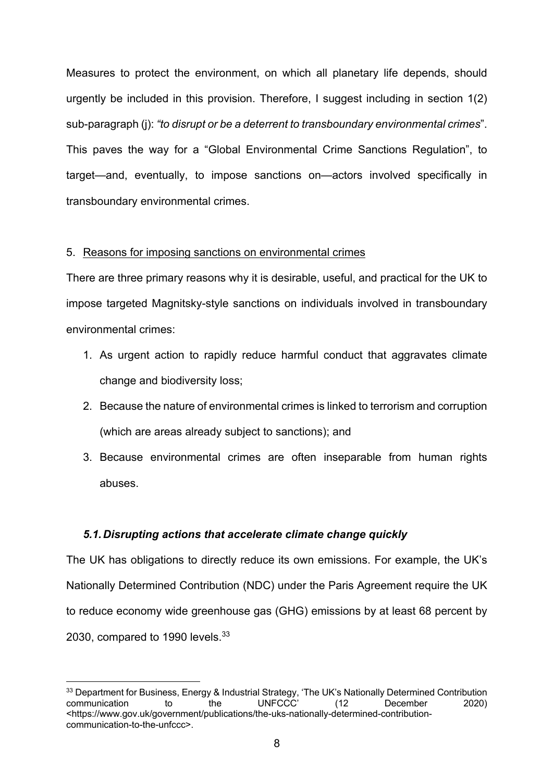Measures to protect the environment, on which all planetary life depends, should urgently be included in this provision. Therefore, I suggest including in section 1(2) sub-paragraph (j): *"to disrupt or be a deterrent to transboundary environmental crimes*". This paves the way for a "Global Environmental Crime Sanctions Regulation", to target—and, eventually, to impose sanctions on—actors involved specifically in transboundary environmental crimes.

#### 5. Reasons for imposing sanctions on environmental crimes

There are three primary reasons why it is desirable, useful, and practical for the UK to impose targeted Magnitsky-style sanctions on individuals involved in transboundary environmental crimes:

- 1. As urgent action to rapidly reduce harmful conduct that aggravates climate change and biodiversity loss;
- 2. Because the nature of environmental crimes is linked to terrorism and corruption (which are areas already subject to sanctions); and
- 3. Because environmental crimes are often inseparable from human rights abuses.

# *5.1.Disrupting actions that accelerate climate change quickly*

The UK has obligations to directly reduce its own emissions. For example, the UK's Nationally Determined Contribution (NDC) under the Paris Agreement require the UK to reduce economy wide greenhouse gas (GHG) emissions by at least 68 percent by 2030, compared to 1990 levels.<sup>33</sup>

<sup>&</sup>lt;sup>33</sup> Department for Business, Energy & Industrial Strategy, 'The UK's Nationally Determined Contribution communication to the UNFCCC' (12 December 2020) <https://www.gov.uk/government/publications/the-uks-nationally-determined-contributioncommunication-to-the-unfccc>.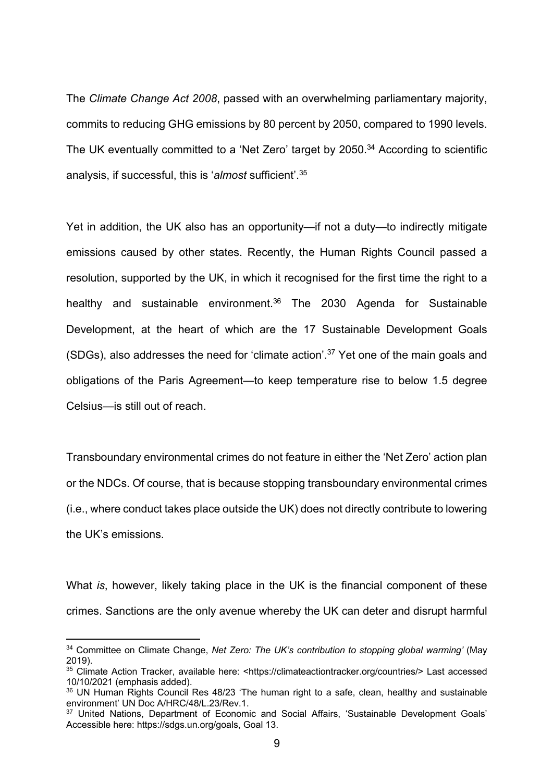The *Climate Change Act 2008*, passed with an overwhelming parliamentary majority, commits to reducing GHG emissions by 80 percent by 2050, compared to 1990 levels. The UK eventually committed to a 'Net Zero' target by 2050.<sup>34</sup> According to scientific analysis, if successful, this is '*almost* sufficient'.35

Yet in addition, the UK also has an opportunity—if not a duty—to indirectly mitigate emissions caused by other states. Recently, the Human Rights Council passed a resolution, supported by the UK, in which it recognised for the first time the right to a healthy and sustainable environment.<sup>36</sup> The 2030 Agenda for Sustainable Development, at the heart of which are the 17 Sustainable Development Goals (SDGs), also addresses the need for 'climate action'.37 Yet one of the main goals and obligations of the Paris Agreement—to keep temperature rise to below 1.5 degree Celsius—is still out of reach.

Transboundary environmental crimes do not feature in either the 'Net Zero' action plan or the NDCs. Of course, that is because stopping transboundary environmental crimes (i.e., where conduct takes place outside the UK) does not directly contribute to lowering the UK's emissions.

What *is*, however, likely taking place in the UK is the financial component of these crimes. Sanctions are the only avenue whereby the UK can deter and disrupt harmful

<sup>34</sup> Committee on Climate Change, *Net Zero: The UK's contribution to stopping global warming'* (May 2019).

<sup>35</sup> Climate Action Tracker, available here: <https://climateactiontracker.org/countries/> Last accessed 10/10/2021 (emphasis added).<br><sup>36</sup> UN Human Rights Council Res 48/23 'The human right to a safe, clean, healthy and sustainable

environment' UN Doc A/HRC/48/L.23/Rev.1.<br><sup>37</sup> United Nations, Department of Economic and Social Affairs, 'Sustainable Development Goals'

Accessible here: https://sdgs.un.org/goals, Goal 13.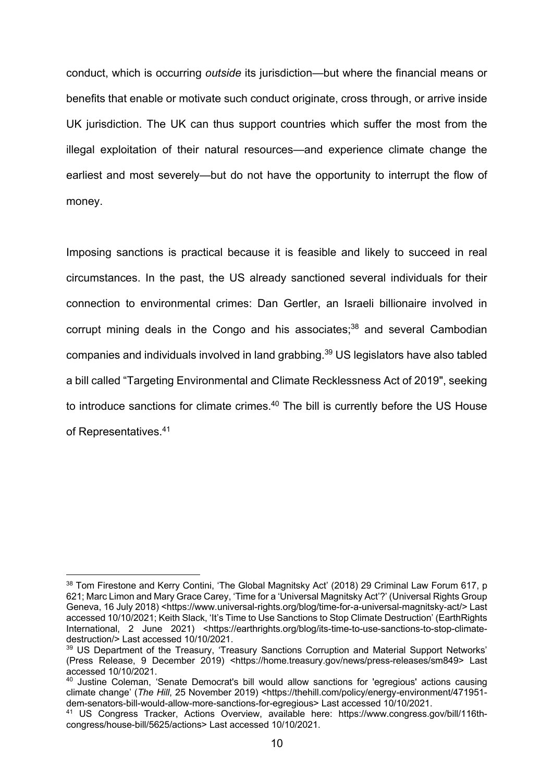conduct, which is occurring *outside* its jurisdiction—but where the financial means or benefits that enable or motivate such conduct originate, cross through, or arrive inside UK jurisdiction. The UK can thus support countries which suffer the most from the illegal exploitation of their natural resources—and experience climate change the earliest and most severely—but do not have the opportunity to interrupt the flow of money.

Imposing sanctions is practical because it is feasible and likely to succeed in real circumstances. In the past, the US already sanctioned several individuals for their connection to environmental crimes: Dan Gertler, an Israeli billionaire involved in corrupt mining deals in the Congo and his associates; <sup>38</sup> and several Cambodian companies and individuals involved in land grabbing. <sup>39</sup> US legislators have also tabled a bill called "Targeting Environmental and Climate Recklessness Act of 2019", seeking to introduce sanctions for climate crimes.<sup>40</sup> The bill is currently before the US House of Representatives. 41

<sup>&</sup>lt;sup>38</sup> Tom Firestone and Kerry Contini, 'The Global Magnitsky Act' (2018) 29 Criminal Law Forum 617, p 621; Marc Limon and Mary Grace Carey, 'Time for a 'Universal Magnitsky Act'?' (Universal Rights Group Geneva, 16 July 2018) <https://www.universal-rights.org/blog/time-for-a-universal-magnitsky-act/> Last accessed 10/10/2021; Keith Slack, 'It's Time to Use Sanctions to Stop Climate Destruction' (EarthRights International, 2 June 2021) <https://earthrights.org/blog/its-time-to-use-sanctions-to-stop-climatedestruction/> Last accessed 10/10/2021.

<sup>&</sup>lt;sup>39</sup> US Department of the Treasury, 'Treasury Sanctions Corruption and Material Support Networks' (Press Release, 9 December 2019) <https://home.treasury.gov/news/press-releases/sm849> Last accessed 10/10/2021.

<sup>&</sup>lt;sup>40</sup> Justine Coleman, 'Senate Democrat's bill would allow sanctions for 'egregious' actions causing climate change' (*The Hill*, 25 November 2019) <https://thehill.com/policy/energy-environment/471951 dem-senators-bill-would-allow-more-sanctions-for-egregious> Last accessed 10/10/2021.

<sup>41</sup> US Congress Tracker, Actions Overview, available here: https://www.congress.gov/bill/116thcongress/house-bill/5625/actions> Last accessed 10/10/2021.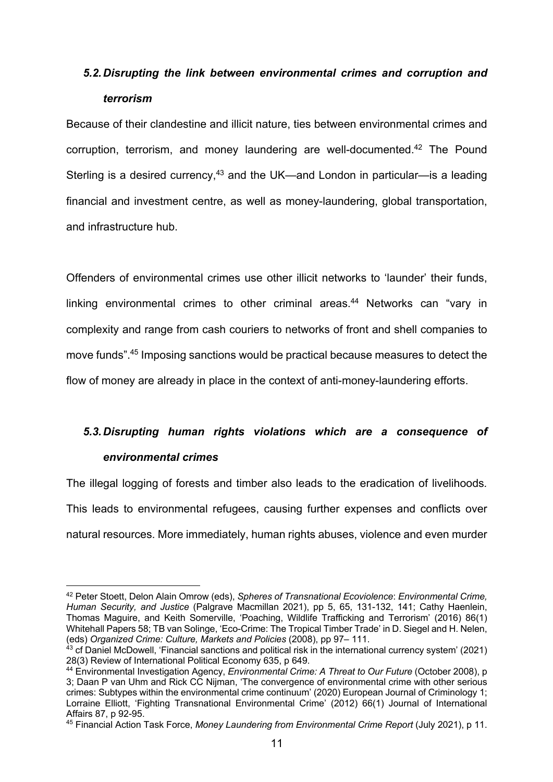# *5.2.Disrupting the link between environmental crimes and corruption and terrorism*

Because of their clandestine and illicit nature, ties between environmental crimes and corruption, terrorism, and money laundering are well-documented.<sup>42</sup> The Pound Sterling is a desired currency,<sup>43</sup> and the UK—and London in particular—is a leading financial and investment centre, as well as money-laundering, global transportation, and infrastructure hub.

Offenders of environmental crimes use other illicit networks to 'launder' their funds, linking environmental crimes to other criminal areas. <sup>44</sup> Networks can "vary in complexity and range from cash couriers to networks of front and shell companies to move funds".45 Imposing sanctions would be practical because measures to detect the flow of money are already in place in the context of anti-money-laundering efforts.

# *5.3.Disrupting human rights violations which are a consequence of*

# *environmental crimes*

The illegal logging of forests and timber also leads to the eradication of livelihoods*.*  This leads to environmental refugees, causing further expenses and conflicts over natural resources. More immediately, human rights abuses, violence and even murder

<sup>42</sup> Peter Stoett, Delon Alain Omrow (eds), *Spheres of Transnational Ecoviolence*: *Environmental Crime, Human Security, and Justice* (Palgrave Macmillan 2021), pp 5, 65, 131-132, 141; Cathy Haenlein, Thomas Maguire, and Keith Somerville, 'Poaching, Wildlife Trafficking and Terrorism' (2016) 86(1) Whitehall Papers 58; TB van Solinge, 'Eco-Crime: The Tropical Timber Trade' in D. Siegel and H. Nelen, (eds) Organized Crime: Culture, Markets and Policies (2008), pp 97- 111.

<sup>&</sup>lt;sup>43</sup> cf Daniel McDowell, 'Financial sanctions and political risk in the international currency system' (2021) 28(3) Review of International Political Economy 635, p 649.

<sup>44</sup> Environmental Investigation Agency, *Environmental Crime: A Threat to Our Future* (October 2008), p 3; Daan P van Uhm and Rick CC Nijman, 'The convergence of environmental crime with other serious crimes: Subtypes within the environmental crime continuum' (2020) European Journal of Criminology 1; Lorraine Elliott, 'Fighting Transnational Environmental Crime' (2012) 66(1) Journal of International Affairs 87, p 92-95.

<sup>45</sup> Financial Action Task Force, *Money Laundering from Environmental Crime Report* (July 2021), p 11.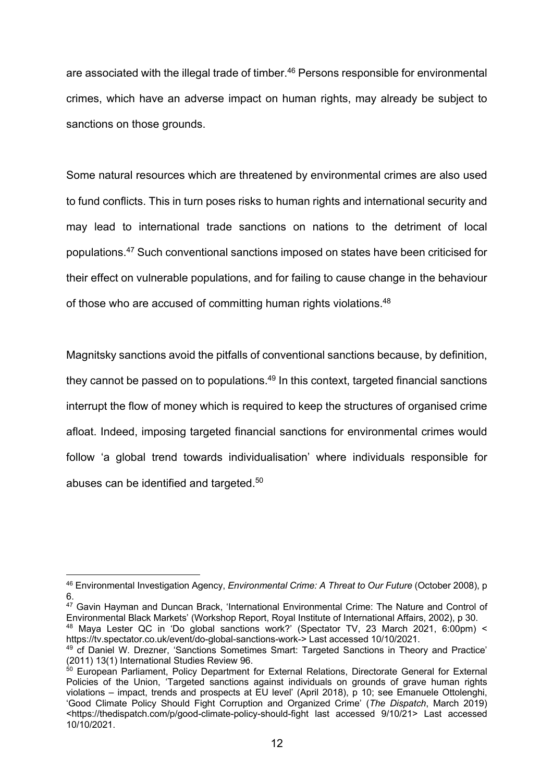are associated with the illegal trade of timber.<sup>46</sup> Persons responsible for environmental crimes, which have an adverse impact on human rights, may already be subject to sanctions on those grounds.

Some natural resources which are threatened by environmental crimes are also used to fund conflicts. This in turn poses risks to human rights and international security and may lead to international trade sanctions on nations to the detriment of local populations.47 Such conventional sanctions imposed on states have been criticised for their effect on vulnerable populations, and for failing to cause change in the behaviour of those who are accused of committing human rights violations.48

Magnitsky sanctions avoid the pitfalls of conventional sanctions because, by definition, they cannot be passed on to populations. $49$  In this context, targeted financial sanctions interrupt the flow of money which is required to keep the structures of organised crime afloat. Indeed, imposing targeted financial sanctions for environmental crimes would follow 'a global trend towards individualisation' where individuals responsible for abuses can be identified and targeted.<sup>50</sup>

<sup>47</sup> Gavin Hayman and Duncan Brack, 'International Environmental Crime: The Nature and Control of Environmental Black Markets' (Workshop Report, Royal Institute of International Affairs, 2002), p 30. <sup>48</sup> Maya Lester QC in 'Do global sanctions work?' (Spectator TV, 23 March 2021, 6:00pm) <

<sup>46</sup> Environmental Investigation Agency, *Environmental Crime: A Threat to Our Future* (October 2008), p 6.

https://tv.spectator.co.uk/event/do-global-sanctions-work-> Last accessed 10/10/2021. <sup>49</sup> cf Daniel W. Drezner, 'Sanctions Sometimes Smart: Targeted Sanctions in Theory and Practice' (2011) 13(1) International Studies Review 96.

 $50$  European Parliament, Policy Department for External Relations, Directorate General for External Policies of the Union, 'Targeted sanctions against individuals on grounds of grave human rights violations – impact, trends and prospects at EU level' (April 2018), p 10; see Emanuele Ottolenghi, 'Good Climate Policy Should Fight Corruption and Organized Crime' (*The Dispatch*, March 2019) <https://thedispatch.com/p/good-climate-policy-should-fight last accessed 9/10/21> Last accessed 10/10/2021.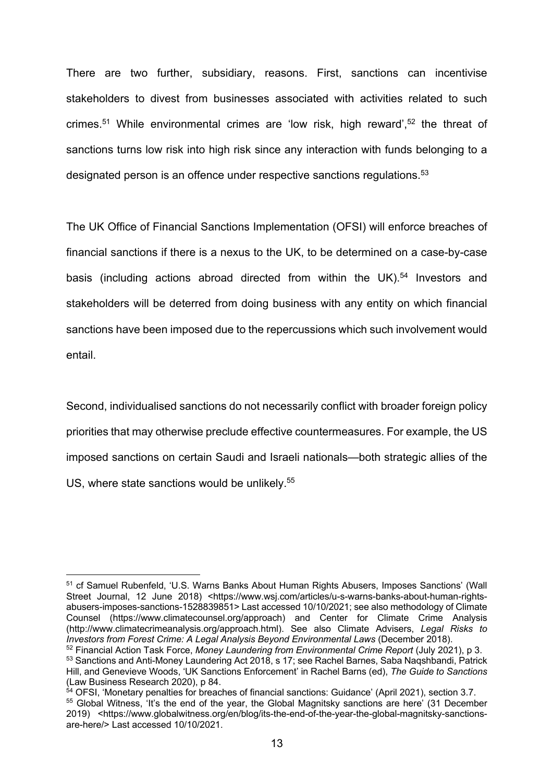There are two further, subsidiary, reasons. First, sanctions can incentivise stakeholders to divest from businesses associated with activities related to such crimes.<sup>51</sup> While environmental crimes are 'low risk, high reward',<sup>52</sup> the threat of sanctions turns low risk into high risk since any interaction with funds belonging to a designated person is an offence under respective sanctions regulations.<sup>53</sup>

The UK Office of Financial Sanctions Implementation (OFSI) will enforce breaches of financial sanctions if there is a nexus to the UK, to be determined on a case-by-case basis (including actions abroad directed from within the UK).<sup>54</sup> Investors and stakeholders will be deterred from doing business with any entity on which financial sanctions have been imposed due to the repercussions which such involvement would entail.

Second, individualised sanctions do not necessarily conflict with broader foreign policy priorities that may otherwise preclude effective countermeasures. For example, the US imposed sanctions on certain Saudi and Israeli nationals—both strategic allies of the US, where state sanctions would be unlikely.<sup>55</sup>

<sup>51</sup> cf Samuel Rubenfeld, 'U.S. Warns Banks About Human Rights Abusers, Imposes Sanctions' (Wall Street Journal, 12 June 2018) <https://www.wsj.com/articles/u-s-warns-banks-about-human-rightsabusers-imposes-sanctions-1528839851> Last accessed 10/10/2021; see also methodology of Climate Counsel (https://www.climatecounsel.org/approach) and Center for Climate Crime Analysis (http://www.climatecrimeanalysis.org/approach.html). See also Climate Advisers, *Legal Risks to Investors from Forest Crime: A Legal Analysis Beyond Environmental Laws* (December 2018).

<sup>52</sup> Financial Action Task Force, *Money Laundering from Environmental Crime Report* (July 2021), p 3.

<sup>53</sup> Sanctions and Anti-Money Laundering Act 2018, s 17; see Rachel Barnes, Saba Naqshbandi, Patrick Hill, and Genevieve Woods, 'UK Sanctions Enforcement' in Rachel Barns (ed), *The Guide to Sanctions* (Law Business Research 2020), p 84.<br>
<sup>54</sup> OFSI, 'Monetary penalties for breaches of financial sanctions: Guidance' (April 2021), section 3.7.

 $55$  Global Witness, 'It's the end of the year, the Global Magnitsky sanctions are here' (31 December 2019) <https://www.globalwitness.org/en/blog/its-the-end-of-the-year-the-global-magnitsky-sanctionsare-here/> Last accessed 10/10/2021.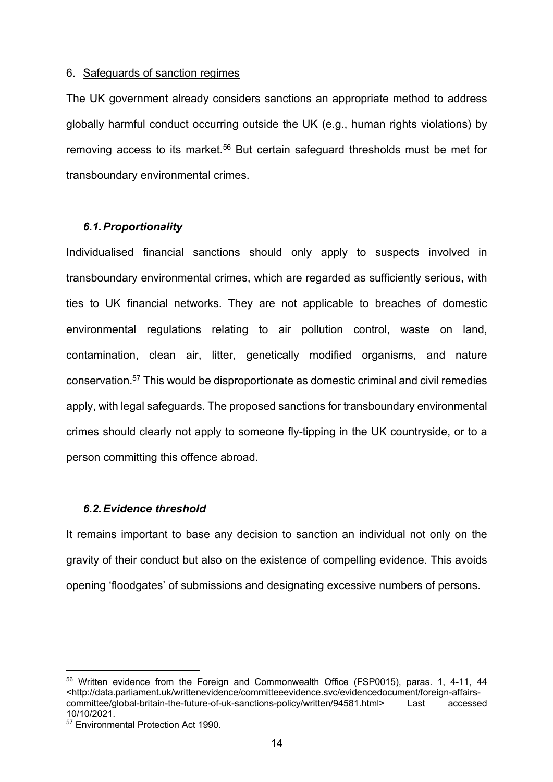#### 6. Safeguards of sanction regimes

The UK government already considers sanctions an appropriate method to address globally harmful conduct occurring outside the UK (e.g., human rights violations) by removing access to its market.<sup>56</sup> But certain safeguard thresholds must be met for transboundary environmental crimes.

### *6.1.Proportionality*

Individualised financial sanctions should only apply to suspects involved in transboundary environmental crimes, which are regarded as sufficiently serious, with ties to UK financial networks. They are not applicable to breaches of domestic environmental regulations relating to air pollution control, waste on land, contamination, clean air, litter, genetically modified organisms, and nature conservation. <sup>57</sup> This would be disproportionate as domestic criminal and civil remedies apply, with legal safeguards. The proposed sanctions for transboundary environmental crimes should clearly not apply to someone fly-tipping in the UK countryside, or to a person committing this offence abroad.

# *6.2.Evidence threshold*

It remains important to base any decision to sanction an individual not only on the gravity of their conduct but also on the existence of compelling evidence. This avoids opening 'floodgates' of submissions and designating excessive numbers of persons.

<sup>&</sup>lt;sup>56</sup> Written evidence from the Foreign and Commonwealth Office (FSP0015), paras. 1, 4-11, 44 <http://data.parliament.uk/writtenevidence/committeeevidence.svc/evidencedocument/foreign-affairscommittee/global-britain-the-future-of-uk-sanctions-policy/written/94581.html> Last accessed 10/10/2021.<br><sup>57</sup> Environmental Protection Act 1990.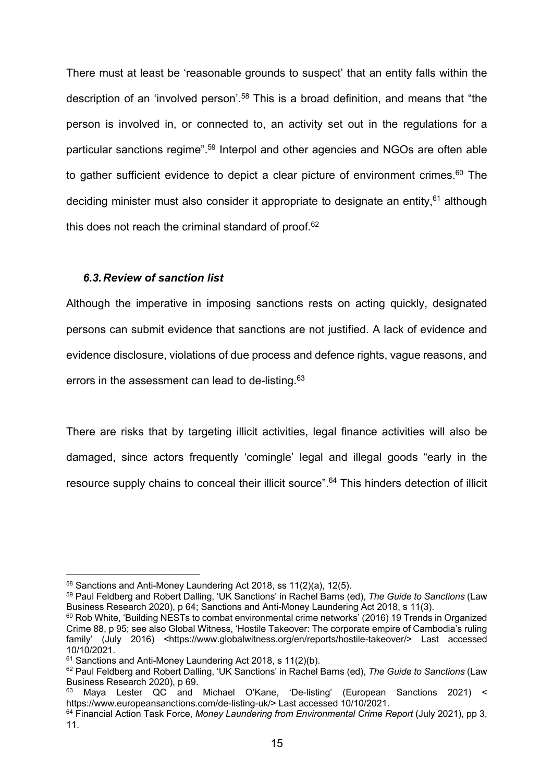There must at least be 'reasonable grounds to suspect' that an entity falls within the description of an 'involved person'.<sup>58</sup> This is a broad definition, and means that "the person is involved in, or connected to, an activity set out in the regulations for a particular sanctions regime".59 Interpol and other agencies and NGOs are often able to gather sufficient evidence to depict a clear picture of environment crimes.<sup>60</sup> The deciding minister must also consider it appropriate to designate an entity,<sup>61</sup> although this does not reach the criminal standard of proof. $62$ 

# *6.3.Review of sanction list*

Although the imperative in imposing sanctions rests on acting quickly, designated persons can submit evidence that sanctions are not justified. A lack of evidence and evidence disclosure, violations of due process and defence rights, vague reasons, and errors in the assessment can lead to de-listing.<sup>63</sup>

There are risks that by targeting illicit activities, legal finance activities will also be damaged, since actors frequently 'comingle' legal and illegal goods "early in the resource supply chains to conceal their illicit source".<sup>64</sup> This hinders detection of illicit

 $58$  Sanctions and Anti-Money Laundering Act 2018, ss 11(2)(a), 12(5).

<sup>59</sup> Paul Feldberg and Robert Dalling, 'UK Sanctions' in Rachel Barns (ed), *The Guide to Sanctions* (Law Business Research 2020), p 64; Sanctions and Anti-Money Laundering Act 2018, s 11(3).

<sup>60</sup> Rob White, 'Building NESTs to combat environmental crime networks' (2016) 19 Trends in Organized Crime 88, p 95; see also Global Witness, 'Hostile Takeover: The corporate empire of Cambodia's ruling family' (July 2016) <https://www.globalwitness.org/en/reports/hostile-takeover/> Last accessed 10/10/2021.

 $61$  Sanctions and Anti-Money Laundering Act 2018, s 11(2)(b).

<sup>&</sup>lt;sup>62</sup> Paul Feldberg and Robert Dalling, 'UK Sanctions' in Rachel Barns (ed), *The Guide to Sanctions* (Law Business Research 2020), p 69.

 $^{63}$  Mava Lester QC and Michael O'Kane, 'De-listing' (European Sanctions 2021) < https://www.europeansanctions.com/de-listing-uk/> Last accessed 10/10/2021.

<sup>64</sup> Financial Action Task Force, *Money Laundering from Environmental Crime Report* (July 2021), pp 3, 11.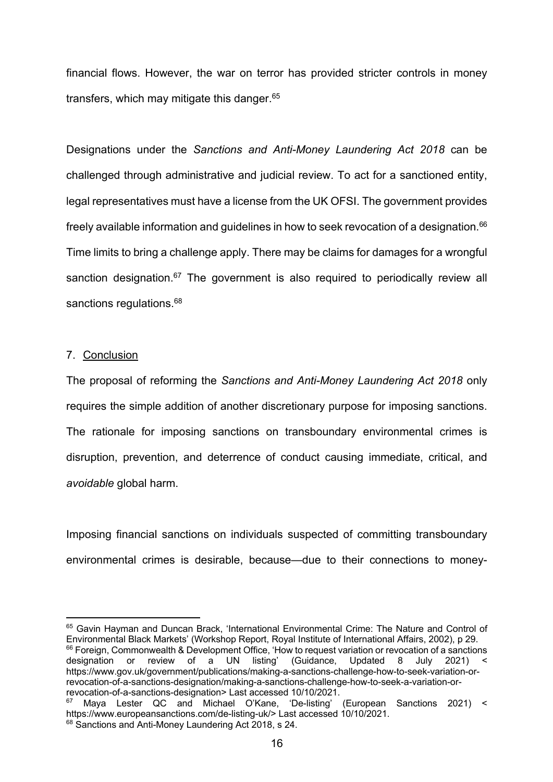financial flows. However, the war on terror has provided stricter controls in money transfers, which may mitigate this danger. 65

Designations under the *Sanctions and Anti-Money Laundering Act 2018* can be challenged through administrative and judicial review. To act for a sanctioned entity, legal representatives must have a license from the UK OFSI. The government provides freely available information and guidelines in how to seek revocation of a designation.<sup>66</sup> Time limits to bring a challenge apply. There may be claims for damages for a wrongful sanction designation.<sup>67</sup> The government is also required to periodically review all sanctions regulations.<sup>68</sup>

### 7. Conclusion

The proposal of reforming the *Sanctions and Anti-Money Laundering Act 2018* only requires the simple addition of another discretionary purpose for imposing sanctions. The rationale for imposing sanctions on transboundary environmental crimes is disruption, prevention, and deterrence of conduct causing immediate, critical, and *avoidable* global harm.

Imposing financial sanctions on individuals suspected of committing transboundary environmental crimes is desirable, because—due to their connections to money-

<sup>65</sup> Gavin Hayman and Duncan Brack, 'International Environmental Crime: The Nature and Control of Environmental Black Markets' (Workshop Report, Royal Institute of International Affairs, 2002), p 29. <sup>66</sup> Foreign, Commonwealth & Development Office, 'How to request variation or revocation of a sanctions designation or review of a UN listing' (Guidance, Updated 8 July 2021) < https://www.gov.uk/government/publications/making-a-sanctions-challenge-how-to-seek-variation-orrevocation-of-a-sanctions-designation/making-a-sanctions-challenge-how-to-seek-a-variation-orrevocation-of-a-sanctions-designation> Last accessed 10/10/2021.

<sup>&</sup>lt;sup>67</sup> Maya Lester QC and Michael O'Kane, 'De-listing' (European Sanctions 2021) < https://www.europeansanctions.com/de-listing-uk/> Last accessed 10/10/2021.

<sup>&</sup>lt;sup>68</sup> Sanctions and Anti-Money Laundering Act 2018, s 24.